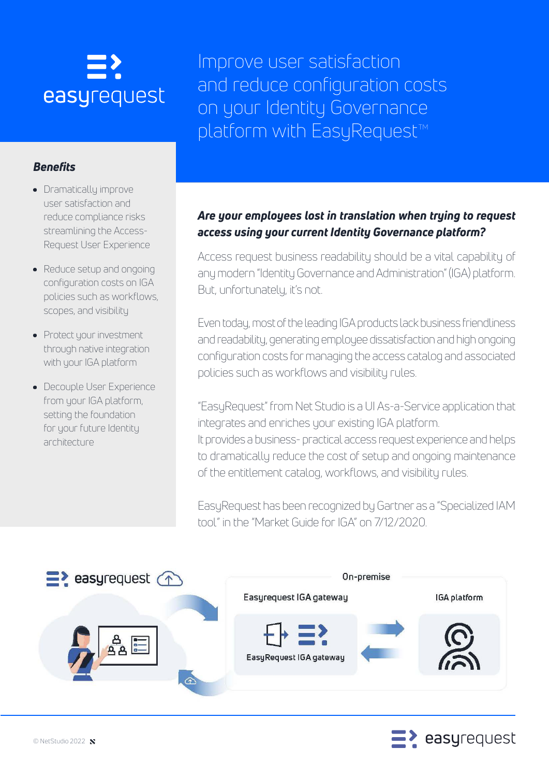# easyrequest

Improve user satisfaction and reduce configuration costs on your Identity Governance platform with EasyRequest™

### *Benefits*

- Dramatically improve user satisfaction and reduce compliance risks streamlining the Access-Request User Experience
- Reduce setup and ongoing configuration costs on IGA policies such as workflows, scopes, and visibility
- Protect your investment through native integration with your IGA platform
- **Decouple User Experience** from your IGA platform, setting the foundation for your future Identity architecture

### *Are your employees lost in translation when trying to request access using your current Identity Governance platform?*

Access request business readability should be a vital capability of any modern "Identity Governance and Administration" (IGA) platform. But, unfortunately, it's not.

Even today, most of the leading IGA products lack business friendliness and readability, generating employee dissatisfaction and high ongoing configuration costs for managing the access catalog and associated policies such as workflows and visibility rules.

"EasyRequest" from Net Studio is a UI As-a-Service application that integrates and enriches your existing IGA platform. It provides a business- practical access request experience and helps to dramatically reduce the cost of setup and ongoing maintenance of the entitlement catalog, workflows, and visibility rules.

EasyRequest has been recognized by Gartner as a "Specialized IAM tool" in the "Market Guide for IGA" on 7/12/2020.



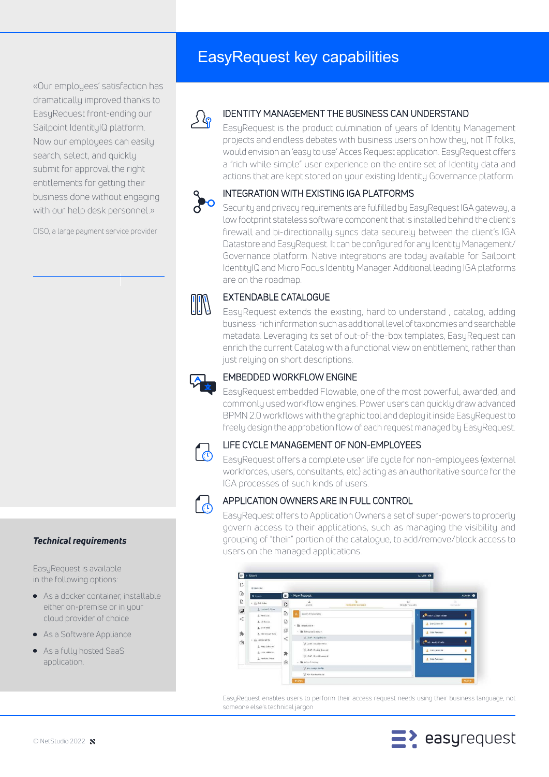«Our employees' satisfaction has dramatically improved thanks to EasyRequest front-ending our Sailpoint IdentityIQ platform. Now our employees can easily search, select, and quickly submit for approval the right entitlements for getting their business done without engaging with our help desk personnel.»

CISO, a large payment service provider

## EasyRequest key capabilities

### IDENTITY MANAGEMENT THE BUSINESS CAN UNDERSTAND

EasyRequest is the product culmination of years of Identity Management projects and endless debates with business users on how they, not IT folks, would envision an 'easy to use' Acces Request application. EasyRequest offers a "rich while simple" user experience on the entire set of Identity data and actions that are kept stored on your existing Identity Governance platform.

### INTEGRATION WITH EXISTING IGA PLATFORMS

Security and privacy requirements are fulfilled by EasyRequest IGA gateway, a low footprint stateless software component that is installed behind the client's firewall and bi-directionally syncs data securely between the client's IGA Datastore and EasyRequest. It can be configured for any Identity Management/ Governance platform. Native integrations are today available for Sailpoint IdentityIQ and Micro Focus Identity Manager. Additional leading IGA platforms are on the roadmap.

### EXTENDABLE CATALOGUE

EasyRequest extends the existing, hard to understand , catalog, adding business-rich information such as additional level of taxonomies and searchable metadata. Leveraging its set of out-of-the-box templates, EasyRequest can enrich the current Catalog with a functional view on entitlement, rather than just relying on short descriptions.

### EMBEDDED WORKFLOW ENGINE

EasyRequest embedded Flowable, one of the most powerful, awarded, and commonly used workflow engines. Power users can quickly draw advanced BPMN 2.0 workflows with the graphic tool and deploy it inside EasyRequest to freely design the approbation flow of each request managed by EasyRequest.



### LIFE CYCLE MANAGEMENT OF NON-EMPLOYEES

EasyRequest offers a complete user life cycle for non-employees (external workforces, users, consultants, etc) acting as an authoritative source for the IGA processes of such kinds of users.



### APPLICATION OWNERS ARE IN FULL CONTROL

EasyRequest offers to Application Owners a set of super-powers to properly govern access to their applications, such as managing the visibility and grouping of "their" portion of the catalogue, to add/remove/block access to users on the managed applications.



EasyRequest enables users to perform their access request needs using their business language, not someone else's technical jargon



### *Technical requirements*

EasyRequest is available in the following options:

- As a docker container, installable either on-premise or in your cloud provider of choice
- As a Software Appliance
- As a fully hosted SaaS application.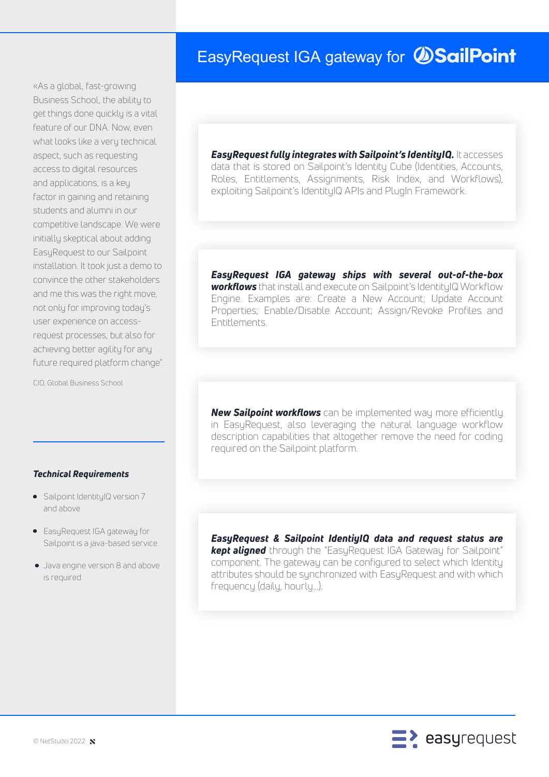# EasyRequest IGA gateway for *SailPoint*

«As a global, fast-growing Business School, the ability to get things done quickly is a vital feature of our DNA. Now, even what looks like a very technical aspect, such as requesting access to digital resources and applications, is a key factor in gaining and retaining students and alumni in our competitive landscape. We were initially skeptical about adding EasyRequest to our Sailpoint installation. It took just a demo to convince the other stakeholders and me this was the right move, not only for improving today's user experience on accessrequest processes, but also for achieving better agility for any future required platform change".

CIO, Global Business School

### *Technical Requirements*

- Sailpoint IdentityIQ version 7 and above
- **EasyRequest IGA gateway for** Sailpoint is a java-based service.
- Java engine version 8 and above is required.

*EasyRequest fully integrates with Sailpoint's IdentityIQ.* It accesses data that is stored on Sailpoint's Identity Cube (Identities, Accounts, Roles, Entitlements, Assignments, Risk Index, and Workflows), exploiting Sailpoint's IdentityIQ APIs and PlugIn Framework.

*EasyRequest IGA gateway ships with several out-of-the-box workflows* that install and execute on Sailpoint's IdentityIQ Workflow Engine. Examples are: Create a New Account; Update Account Properties; Enable/Disable Account; Assign/Revoke Profiles and Entitlements.

*New Sailpoint workflows* can be implemented way more efficiently in EasyRequest, also leveraging the natural language workflow description capabilities that altogether remove the need for coding required on the Sailpoint platform.

*EasyRequest & Sailpoint IdentiyIQ data and request status are kept aligned* through the "EasyRequest IGA Gateway for Sailpoint" component. The gateway can be configured to select which Identity attributes should be synchronized with EasyRequest and with which frequency (daily, hourly...).

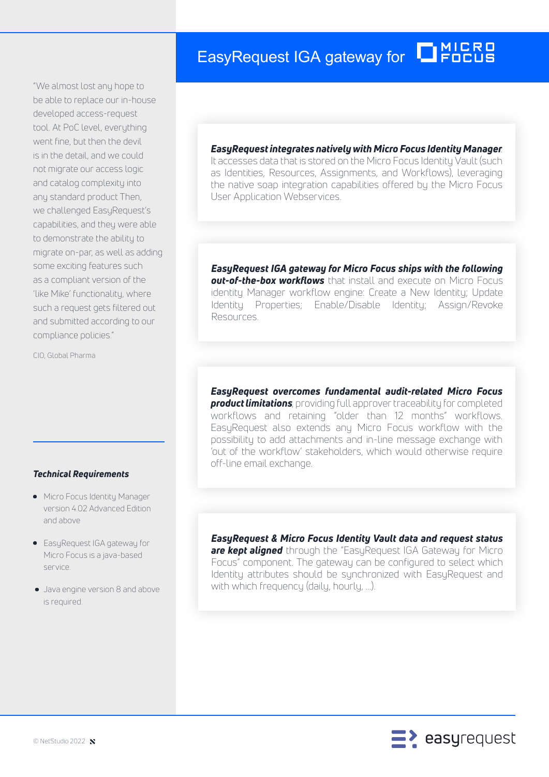# EasyRequest IGA gateway for **THERE**

"We almost lost any hope to be able to replace our in-house developed access-request tool. At PoC level, everything went fine, but then the devil is in the detail, and we could not migrate our access logic and catalog complexity into any standard product Then, we challenged EasyRequest's capabilities, and they were able to demonstrate the ability to migrate on-par, as well as adding some exciting features such as a compliant version of the 'like Mike' functionality, where such a request gets filtered out and submitted according to our compliance policies."

CIO, Global Pharma

### *Technical Requirements*

- **•** Micro Focus Identity Manager version 4.02 Advanced Edition and above
- **EasyRequest IGA gateway for** Micro Focus is a java-based service.
- Java engine version 8 and above is required.

### *EasyRequest integrates natively with Micro Focus Identity Manager*.

It accesses data that is stored on the Micro Focus Identity Vault (such as Identities, Resources, Assignments, and Workflows), leveraging the native soap integration capabilities offered by the Micro Focus User Application Webservices.

*EasyRequest IGA gateway for Micro Focus ships with the following out-of-the-box workflows* that install and execute on Micro Focus identity Manager workflow engine: Create a New Identity; Update Identity Properties; Enable/Disable Identity; Assign/Revoke Resources.

*EasyRequest overcomes fundamental audit-related Micro Focus product limitations*, providing full approver traceability for completed workflows and retaining "older than 12 months" workflows. EasyRequest also extends any Micro Focus workflow with the possibility to add attachments and in-line message exchange with 'out of the workflow' stakeholders, which would otherwise require off-line email exchange.

*EasyRequest & Micro Focus Identity Vault data and request status are kept aligned* through the "EasyRequest IGA Gateway for Micro Focus" component. The gateway can be configured to select which Identity attributes should be synchronized with EasyRequest and with which frequency (daily, hourly, ...).

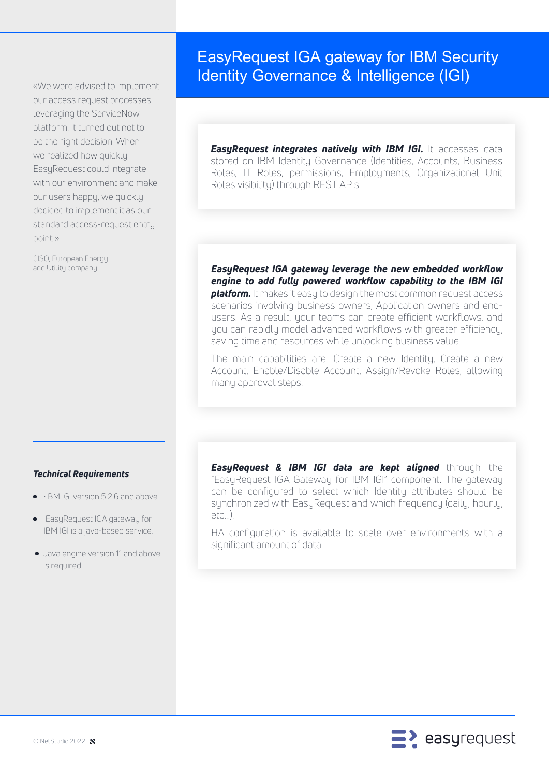«We were advised to implement our access request processes leveraging the ServiceNow platform. It turned out not to be the right decision. When we realized how quickly EasyRequest could integrate with our environment and make our users happy, we quickly decided to implement it as our standard access-request entry point.»

CISO, European Energy and Utility company

### EasyRequest IGA gateway for IBM Security Identity Governance & Intelligence (IGI)

*EasyRequest integrates natively with IBM IGI.* **It accesses data** stored on IBM Identity Governance (Identities, Accounts, Business Roles, IT Roles, permissions, Employments, Organizational Unit Roles visibility) through REST APIs.

*EasyRequest IGA gateway leverage the new embedded workflow engine to add fully powered workflow capability to the IBM IGI platform.* It makes it easy to design the most common request access scenarios involving business owners, Application owners and endusers. As a result, your teams can create efficient workflows, and you can rapidly model advanced workflows with greater efficiency, saving time and resources while unlocking business value.

The main capabilities are: Create a new Identity, Create a new Account, Enable/Disable Account, Assign/Revoke Roles, allowing many approval steps.

### *Technical Requirements*

- •IBM IGI version 5.2.6 and above
- EasyRequest IGA gateway for  $\bullet$ IBM IGI is a java-based service.
- Java engine version 11 and above is required.

*EasyRequest & IBM IGI data are kept aligned* through the "EasyRequest IGA Gateway for IBM IGI" component. The gateway can be configured to select which Identity attributes should be synchronized with EasyRequest and which frequency (daily, hourly, etc...).

HA configuration is available to scale over environments with a significant amount of data.